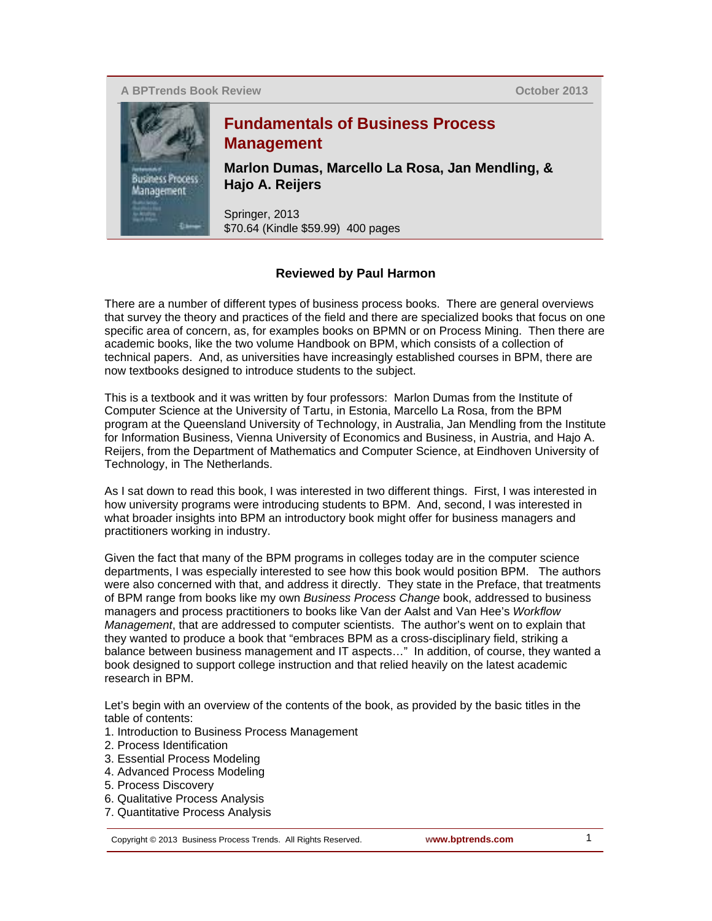**A BPTrends Book Review**

**October 2013**



## **Fundamentals of Business Process Management**

**Marlon Dumas, Marcello La Rosa, Jan Mendling, & Hajo A. Reijers**

Springer, 2013 \$70.64 (Kindle \$59.99) 400 pages

## **Reviewed by Paul Harmon**

There are a number of different types of business process books. There are general overviews that survey the theory and practices of the field and there are specialized books that focus on one specific area of concern, as, for examples books on BPMN or on Process Mining. Then there are academic books, like the two volume Handbook on BPM, which consists of a collection of technical papers. And, as universities have increasingly established courses in BPM, there are now textbooks designed to introduce students to the subject.

This is a textbook and it was written by four professors: Marlon Dumas from the Institute of Computer Science at the University of Tartu, in Estonia, Marcello La Rosa, from the BPM program at the Queensland University of Technology, in Australia, Jan Mendling from the Institute for Information Business, Vienna University of Economics and Business, in Austria, and Hajo A. Reijers, from the Department of Mathematics and Computer Science, at Eindhoven University of Technology, in The Netherlands.

As I sat down to read this book, I was interested in two different things. First, I was interested in how university programs were introducing students to BPM. And, second, I was interested in what broader insights into BPM an introductory book might offer for business managers and practitioners working in industry.

Given the fact that many of the BPM programs in colleges today are in the computer science departments, I was especially interested to see how this book would position BPM. The authors were also concerned with that, and address it directly. They state in the Preface, that treatments of BPM range from books like my own *Business Process Change* book, addressed to business managers and process practitioners to books like Van der Aalst and Van Hee's *Workflow Management*, that are addressed to computer scientists. The author's went on to explain that they wanted to produce a book that "embraces BPM as a cross-disciplinary field, striking a balance between business management and IT aspects…" In addition, of course, they wanted a book designed to support college instruction and that relied heavily on the latest academic research in BPM.

Let's begin with an overview of the contents of the book, as provided by the basic titles in the table of contents:

- 1. Introduction to Business Process Management
- 2. Process Identification
- 3. Essential Process Modeling
- 4. Advanced Process Modeling
- 5. Process Discovery
- 6. Qualitative Process Analysis
- 7. Quantitative Process Analysis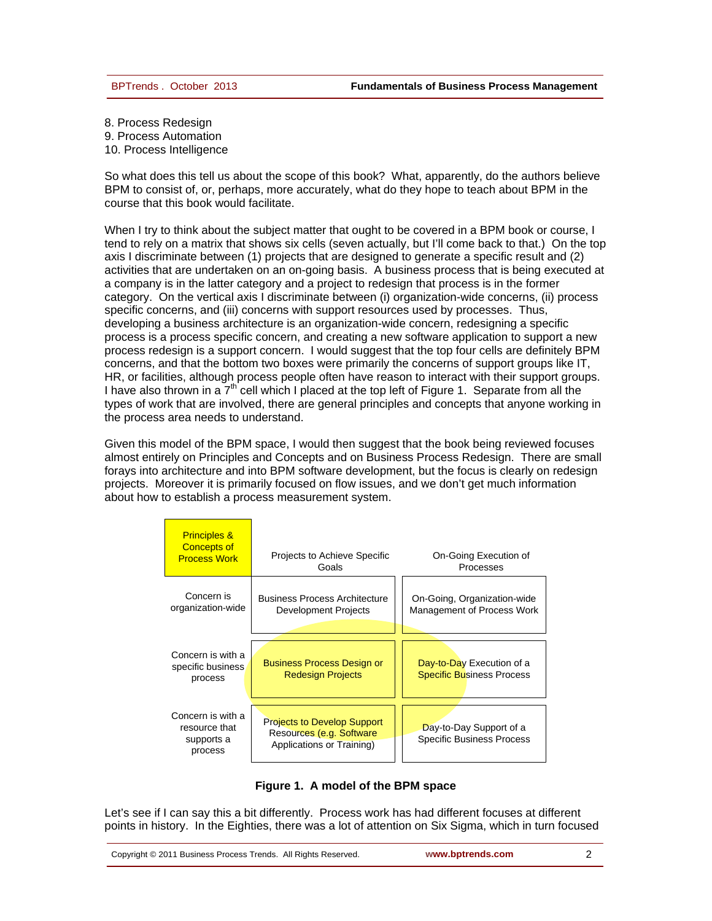8. Process Redesign 9. Process Automation 10. Process Intelligence

So what does this tell us about the scope of this book? What, apparently, do the authors believe BPM to consist of, or, perhaps, more accurately, what do they hope to teach about BPM in the course that this book would facilitate.

When I try to think about the subject matter that ought to be covered in a BPM book or course, I tend to rely on a matrix that shows six cells (seven actually, but I'll come back to that.) On the top axis I discriminate between (1) projects that are designed to generate a specific result and (2) activities that are undertaken on an on-going basis. A business process that is being executed at a company is in the latter category and a project to redesign that process is in the former category. On the vertical axis I discriminate between (i) organization-wide concerns, (ii) process specific concerns, and (iii) concerns with support resources used by processes. Thus, developing a business architecture is an organization-wide concern, redesigning a specific process is a process specific concern, and creating a new software application to support a new process redesign is a support concern. I would suggest that the top four cells are definitely BPM concerns, and that the bottom two boxes were primarily the concerns of support groups like IT, HR, or facilities, although process people often have reason to interact with their support groups. I have also thrown in a  $7<sup>th</sup>$  cell which I placed at the top left of Figure 1. Separate from all the types of work that are involved, there are general principles and concepts that anyone working in the process area needs to understand.

Given this model of the BPM space, I would then suggest that the book being reviewed focuses almost entirely on Principles and Concepts and on Business Process Redesign. There are small forays into architecture and into BPM software development, but the focus is clearly on redesign projects. Moreover it is primarily focused on flow issues, and we don't get much information about how to establish a process measurement system.

| <b>Principles &amp;</b><br><b>Concepts of</b><br><b>Process Work</b> | Projects to Achieve Specific<br>Goals                                                       | On-Going Execution of<br>Processes                            |
|----------------------------------------------------------------------|---------------------------------------------------------------------------------------------|---------------------------------------------------------------|
| Concern is<br>organization-wide                                      | <b>Business Process Architecture</b><br>Development Projects                                | On-Going, Organization-wide<br>Management of Process Work     |
| Concern is with a<br>specific business<br>process                    | <b>Business Process Design or</b><br><b>Redesign Projects</b>                               | Day-to-Day Execution of a<br><b>Specific Business Process</b> |
| Concern is with a<br>resource that<br>supports a<br>process          | <b>Projects to Develop Support</b><br>Resources (e.g. Software<br>Applications or Training) | Day-to-Day Support of a<br><b>Specific Business Process</b>   |



Let's see if I can say this a bit differently. Process work has had different focuses at different points in history. In the Eighties, there was a lot of attention on Six Sigma, which in turn focused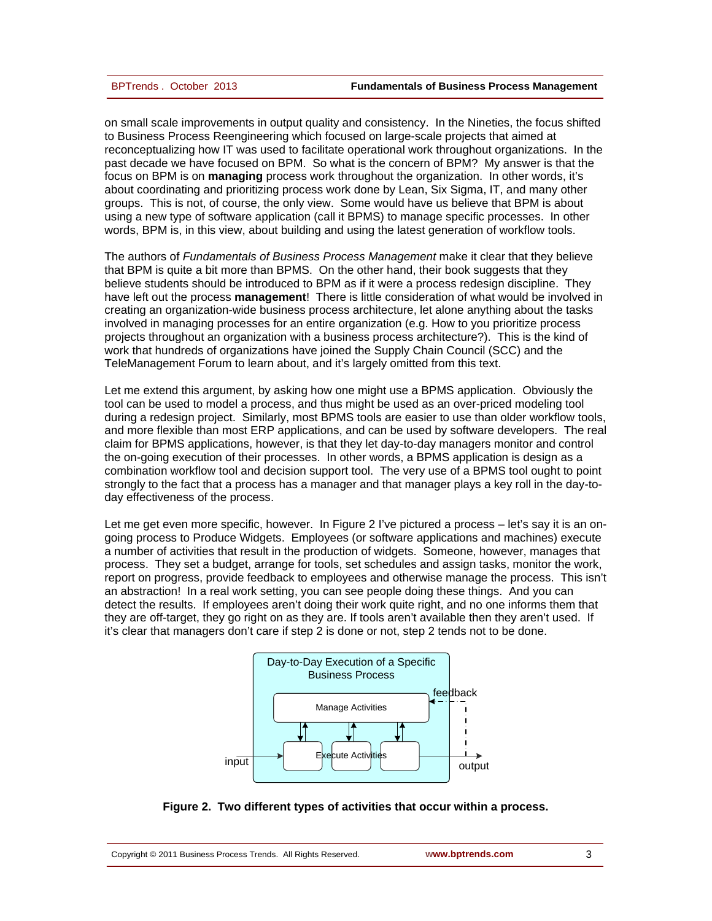on small scale improvements in output quality and consistency. In the Nineties, the focus shifted to Business Process Reengineering which focused on large-scale projects that aimed at reconceptualizing how IT was used to facilitate operational work throughout organizations. In the past decade we have focused on BPM. So what is the concern of BPM? My answer is that the focus on BPM is on **managing** process work throughout the organization. In other words, it's about coordinating and prioritizing process work done by Lean, Six Sigma, IT, and many other groups. This is not, of course, the only view. Some would have us believe that BPM is about using a new type of software application (call it BPMS) to manage specific processes. In other words, BPM is, in this view, about building and using the latest generation of workflow tools.

The authors of *Fundamentals of Business Process Management* make it clear that they believe that BPM is quite a bit more than BPMS. On the other hand, their book suggests that they believe students should be introduced to BPM as if it were a process redesign discipline. They have left out the process **management**! There is little consideration of what would be involved in creating an organization-wide business process architecture, let alone anything about the tasks involved in managing processes for an entire organization (e.g. How to you prioritize process projects throughout an organization with a business process architecture?). This is the kind of work that hundreds of organizations have joined the Supply Chain Council (SCC) and the TeleManagement Forum to learn about, and it's largely omitted from this text.

Let me extend this argument, by asking how one might use a BPMS application. Obviously the tool can be used to model a process, and thus might be used as an over-priced modeling tool during a redesign project. Similarly, most BPMS tools are easier to use than older workflow tools, and more flexible than most ERP applications, and can be used by software developers. The real claim for BPMS applications, however, is that they let day-to-day managers monitor and control the on-going execution of their processes. In other words, a BPMS application is design as a combination workflow tool and decision support tool. The very use of a BPMS tool ought to point strongly to the fact that a process has a manager and that manager plays a key roll in the day-today effectiveness of the process.

Let me get even more specific, however. In Figure 2 I've pictured a process – let's say it is an ongoing process to Produce Widgets. Employees (or software applications and machines) execute a number of activities that result in the production of widgets. Someone, however, manages that process. They set a budget, arrange for tools, set schedules and assign tasks, monitor the work, report on progress, provide feedback to employees and otherwise manage the process. This isn't an abstraction! In a real work setting, you can see people doing these things. And you can detect the results. If employees aren't doing their work quite right, and no one informs them that they are off-target, they go right on as they are. If tools aren't available then they aren't used. If it's clear that managers don't care if step 2 is done or not, step 2 tends not to be done.



**Figure 2. Two different types of activities that occur within a process.**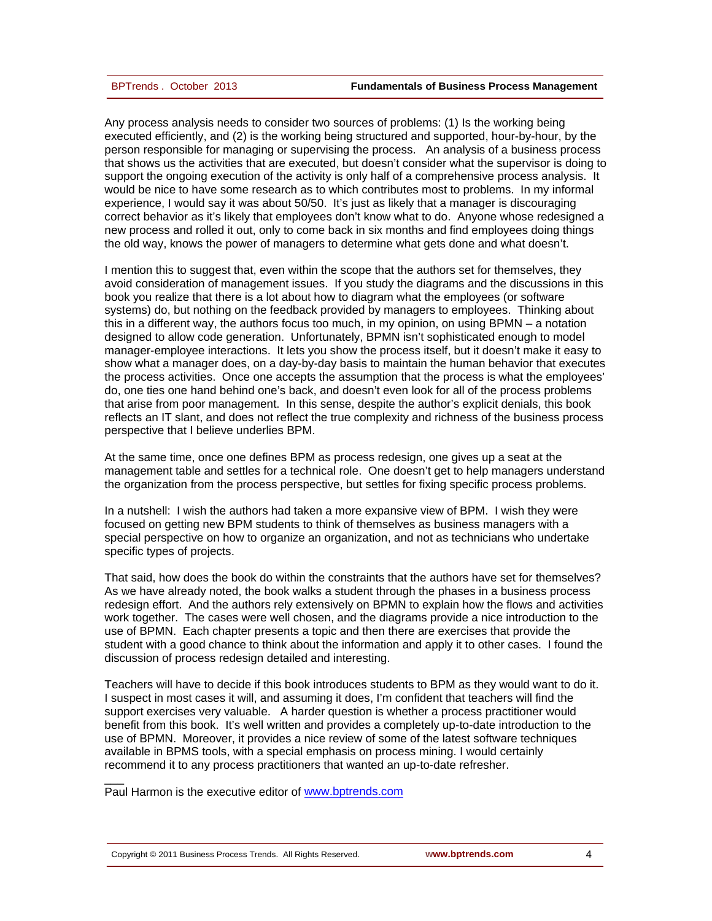Any process analysis needs to consider two sources of problems: (1) Is the working being executed efficiently, and (2) is the working being structured and supported, hour-by-hour, by the person responsible for managing or supervising the process. An analysis of a business process that shows us the activities that are executed, but doesn't consider what the supervisor is doing to support the ongoing execution of the activity is only half of a comprehensive process analysis. It would be nice to have some research as to which contributes most to problems. In my informal experience, I would say it was about 50/50. It's just as likely that a manager is discouraging correct behavior as it's likely that employees don't know what to do. Anyone whose redesigned a new process and rolled it out, only to come back in six months and find employees doing things the old way, knows the power of managers to determine what gets done and what doesn't.

I mention this to suggest that, even within the scope that the authors set for themselves, they avoid consideration of management issues. If you study the diagrams and the discussions in this book you realize that there is a lot about how to diagram what the employees (or software systems) do, but nothing on the feedback provided by managers to employees. Thinking about this in a different way, the authors focus too much, in my opinion, on using BPMN – a notation designed to allow code generation. Unfortunately, BPMN isn't sophisticated enough to model manager-employee interactions. It lets you show the process itself, but it doesn't make it easy to show what a manager does, on a day-by-day basis to maintain the human behavior that executes the process activities. Once one accepts the assumption that the process is what the employees' do, one ties one hand behind one's back, and doesn't even look for all of the process problems that arise from poor management. In this sense, despite the author's explicit denials, this book reflects an IT slant, and does not reflect the true complexity and richness of the business process perspective that I believe underlies BPM.

At the same time, once one defines BPM as process redesign, one gives up a seat at the management table and settles for a technical role. One doesn't get to help managers understand the organization from the process perspective, but settles for fixing specific process problems.

In a nutshell: I wish the authors had taken a more expansive view of BPM. I wish they were focused on getting new BPM students to think of themselves as business managers with a special perspective on how to organize an organization, and not as technicians who undertake specific types of projects.

That said, how does the book do within the constraints that the authors have set for themselves? As we have already noted, the book walks a student through the phases in a business process redesign effort. And the authors rely extensively on BPMN to explain how the flows and activities work together. The cases were well chosen, and the diagrams provide a nice introduction to the use of BPMN. Each chapter presents a topic and then there are exercises that provide the student with a good chance to think about the information and apply it to other cases. I found the discussion of process redesign detailed and interesting.

Teachers will have to decide if this book introduces students to BPM as they would want to do it. I suspect in most cases it will, and assuming it does, I'm confident that teachers will find the support exercises very valuable. A harder question is whether a process practitioner would benefit from this book. It's well written and provides a completely up-to-date introduction to the use of BPMN. Moreover, it provides a nice review of some of the latest software techniques available in BPMS tools, with a special emphasis on process mining. I would certainly recommend it to any process practitioners that wanted an up-to-date refresher.

Paul Harmon is the executive editor of [www.bptrends.com](http://www.bptrends.com/)

 $\overline{\phantom{a}}$